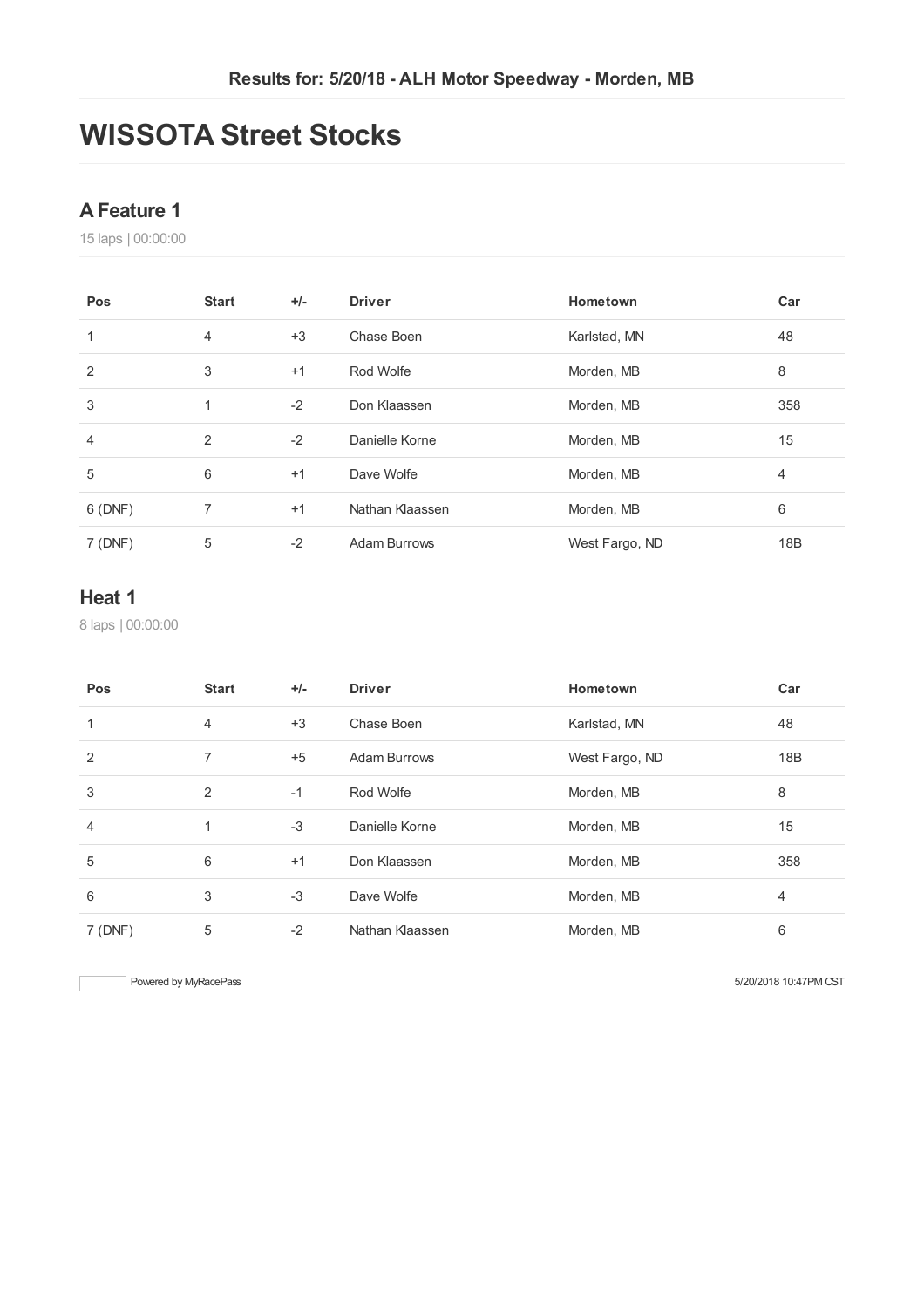# **WISSOTA Street Stocks**

### **AFeature 1**

laps | 00:00:00

| Pos            | <b>Start</b>   | $+/-$ | <b>Driver</b>   | Hometown       | Car            |
|----------------|----------------|-------|-----------------|----------------|----------------|
| 1              | 4              | $+3$  | Chase Boen      | Karlstad, MN   | 48             |
| $\overline{2}$ | 3              | $+1$  | Rod Wolfe       | Morden, MB     | 8              |
| 3              | 1              | $-2$  | Don Klaassen    | Morden, MB     | 358            |
| 4              | $\overline{2}$ | $-2$  | Danielle Korne  | Morden, MB     | 15             |
| 5              | 6              | $+1$  | Dave Wolfe      | Morden, MB     | $\overline{4}$ |
| 6 (DNF)        | 7              | $+1$  | Nathan Klaassen | Morden, MB     | 6              |
| 7(DNF)         | 5              | $-2$  | Adam Burrows    | West Fargo, ND | 18B            |

### **Heat 1**

laps | 00:00:00

| Pos     | <b>Start</b> | $+/-$ | <b>Driver</b>   | Hometown       | Car |
|---------|--------------|-------|-----------------|----------------|-----|
| 1       | 4            | $+3$  | Chase Boen      | Karlstad, MN   | 48  |
| 2       | 7            | $+5$  | Adam Burrows    | West Fargo, ND | 18B |
| 3       | 2            | $-1$  | Rod Wolfe       | Morden, MB     | 8   |
| 4       | 1            | $-3$  | Danielle Korne  | Morden, MB     | 15  |
| 5       | 6            | $+1$  | Don Klaassen    | Morden, MB     | 358 |
| 6       | 3            | $-3$  | Dave Wolfe      | Morden, MB     | 4   |
| 7 (DNF) | 5            | $-2$  | Nathan Klaassen | Morden, MB     | 6   |

Powered by MyRacePass 6/20/2018 10:47PM CST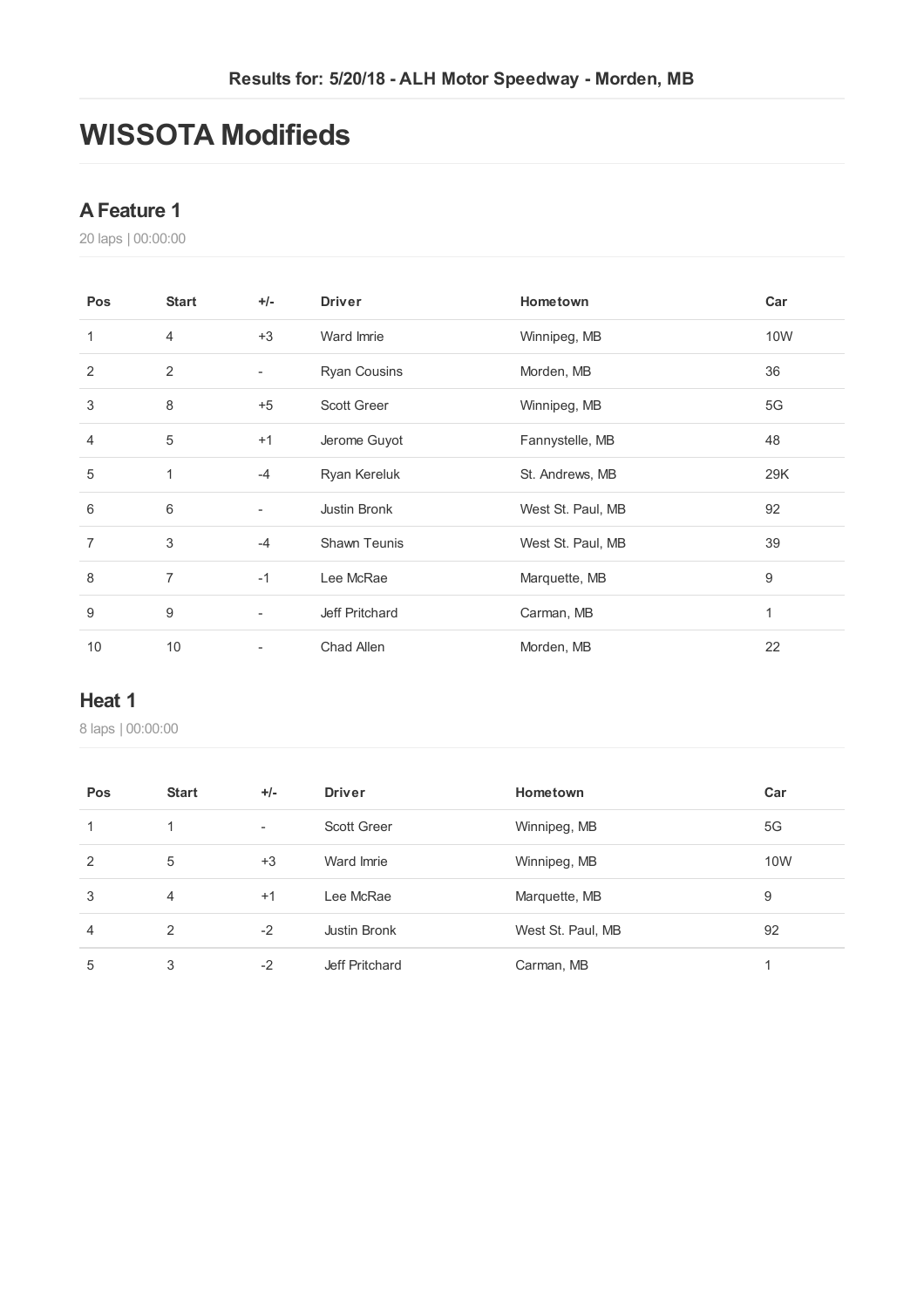# **WISSOTA Modifieds**

### **AFeature 1**

laps | 00:00:00

| Pos            | <b>Start</b>   | $+/-$                    | <b>Driver</b>       | Hometown          | Car   |
|----------------|----------------|--------------------------|---------------------|-------------------|-------|
| 1              | $\overline{4}$ | $+3$                     | Ward Imrie          | Winnipeg, MB      | 10W   |
| 2              | 2              |                          | <b>Ryan Cousins</b> | Morden, MB        | 36    |
| 3              | 8              | $+5$                     | <b>Scott Greer</b>  | Winnipeg, MB      | 5G    |
| 4              | 5              | $+1$                     | Jerome Guyot        | Fannystelle, MB   | 48    |
| 5              | 1              | $-4$                     | Ryan Kereluk        | St. Andrews, MB   | 29K   |
| 6              | 6              |                          | Justin Bronk        | West St. Paul, MB | 92    |
| $\overline{7}$ | 3              | $-4$                     | <b>Shawn Teunis</b> | West St. Paul, MB | 39    |
| 8              | $\overline{7}$ | $-1$                     | Lee McRae           | Marquette, MB     | $9\,$ |
| 9              | 9              | $\overline{\phantom{a}}$ | Jeff Pritchard      | Carman, MB        | 1     |
| 10             | 10             |                          | Chad Allen          | Morden, MB        | 22    |

## **Heat 1**

laps | 00:00:00

| Pos            | <b>Start</b>   | $+/-$                    | <b>Driver</b>      | Hometown          | Car |
|----------------|----------------|--------------------------|--------------------|-------------------|-----|
| 1              |                | $\overline{\phantom{a}}$ | <b>Scott Greer</b> | Winnipeg, MB      | 5G  |
| 2              | 5              | $+3$                     | Ward Imrie         | Winnipeg, MB      | 10W |
| 3              | $\overline{4}$ | $+1$                     | Lee McRae          | Marquette, MB     | 9   |
| $\overline{4}$ | 2              | $-2$                     | Justin Bronk       | West St. Paul, MB | 92  |
| 5              | 3              | $-2$                     | Jeff Pritchard     | Carman, MB        |     |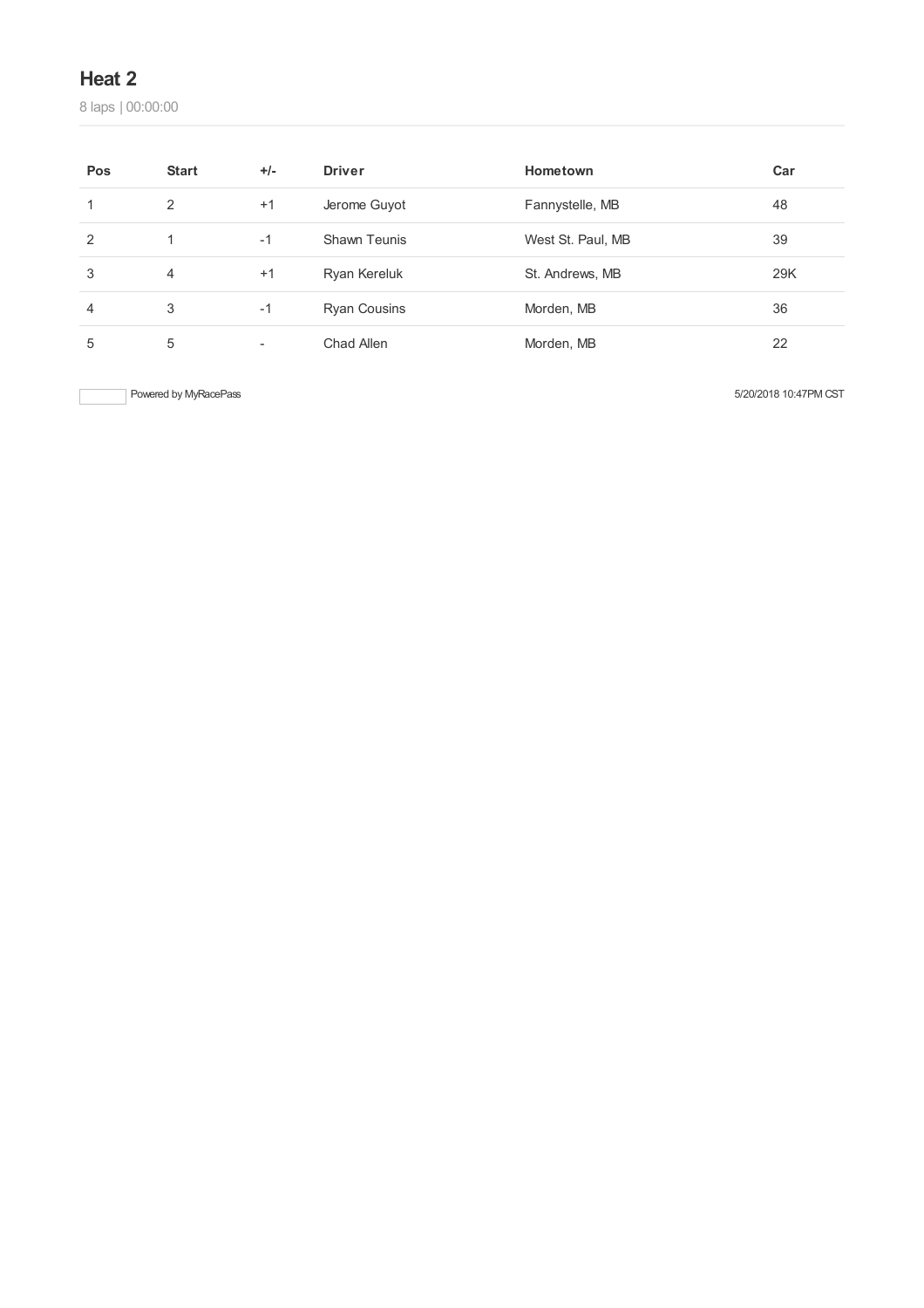# **Heat 2**

laps | 00:00:00

| Pos | <b>Start</b>   | $+/-$ | <b>Driver</b>       | Hometown          | Car |
|-----|----------------|-------|---------------------|-------------------|-----|
|     | 2              | $+1$  | Jerome Guyot        | Fannystelle, MB   | 48  |
| 2   |                | $-1$  | Shawn Teunis        | West St. Paul, MB | 39  |
| 3   | $\overline{4}$ | $+1$  | Ryan Kereluk        | St. Andrews, MB   | 29K |
| 4   | 3              | $-1$  | <b>Ryan Cousins</b> | Morden, MB        | 36  |
| 5   | 5              |       | Chad Allen          | Morden, MB        | 22  |

Powered by MyRacePass 5/20/2018 10:47PM CST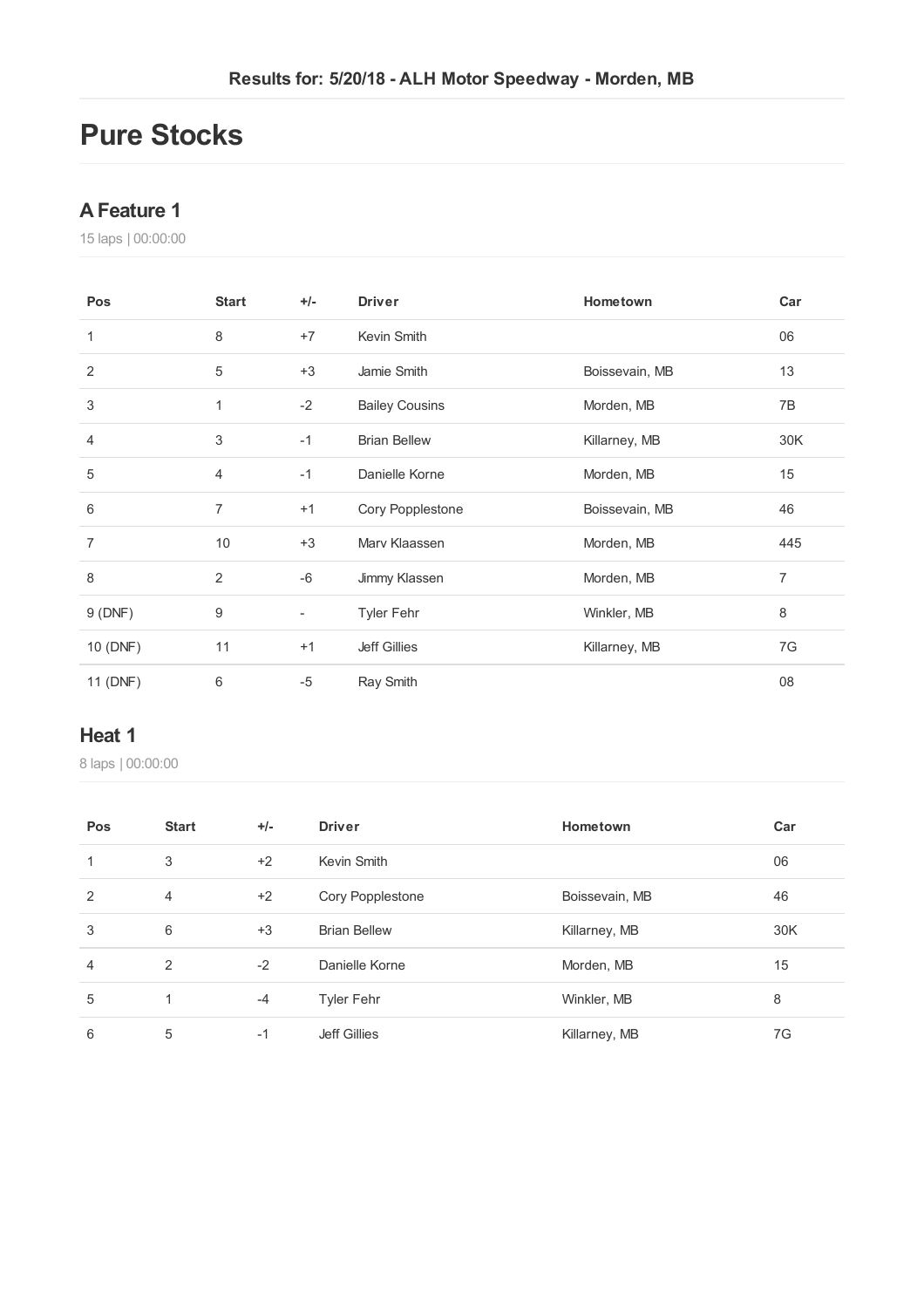# **Pure Stocks**

### **AFeature 1**

laps | 00:00:00

| Pos            | <b>Start</b>   | $+/-$                    | <b>Driver</b>         | Hometown       | Car            |
|----------------|----------------|--------------------------|-----------------------|----------------|----------------|
| 1              | 8              | $+7$                     | Kevin Smith           |                | 06             |
| 2              | 5              | $+3$                     | Jamie Smith           | Boissevain, MB | 13             |
| 3              | 1              | $-2$                     | <b>Bailey Cousins</b> | Morden, MB     | 7B             |
| 4              | 3              | $-1$                     | <b>Brian Bellew</b>   | Killarney, MB  | 30K            |
| 5              | $\overline{4}$ | $-1$                     | Danielle Korne        | Morden, MB     | 15             |
| 6              | $\overline{7}$ | $+1$                     | Cory Popplestone      | Boissevain, MB | 46             |
| $\overline{7}$ | 10             | $+3$                     | Mary Klaassen         | Morden, MB     | 445            |
| 8              | 2              | $-6$                     | Jimmy Klassen         | Morden, MB     | $\overline{7}$ |
| 9(DNF)         | 9              | $\overline{\phantom{a}}$ | <b>Tyler Fehr</b>     | Winkler, MB    | 8              |
| 10 (DNF)       | 11             | $+1$                     | <b>Jeff Gillies</b>   | Killarney, MB  | 7G             |
| 11 (DNF)       | 6              | $-5$                     | Ray Smith             |                | 08             |

#### **Heat 1**

laps | 00:00:00

| Pos            | <b>Start</b>   | $+/-$ | <b>Driver</b>       | Hometown       | Car |
|----------------|----------------|-------|---------------------|----------------|-----|
| 1              | 3              | $+2$  | Kevin Smith         |                | 06  |
| 2              | 4              | $+2$  | Cory Popplestone    | Boissevain, MB | 46  |
| 3              | 6              | $+3$  | <b>Brian Bellew</b> | Killarney, MB  | 30K |
| $\overline{4}$ | $\overline{2}$ | $-2$  | Danielle Korne      | Morden, MB     | 15  |
| 5              | 1              | $-4$  | <b>Tyler Fehr</b>   | Winkler, MB    | 8   |
| 6              | 5              | $-1$  | <b>Jeff Gillies</b> | Killarney, MB  | 7G  |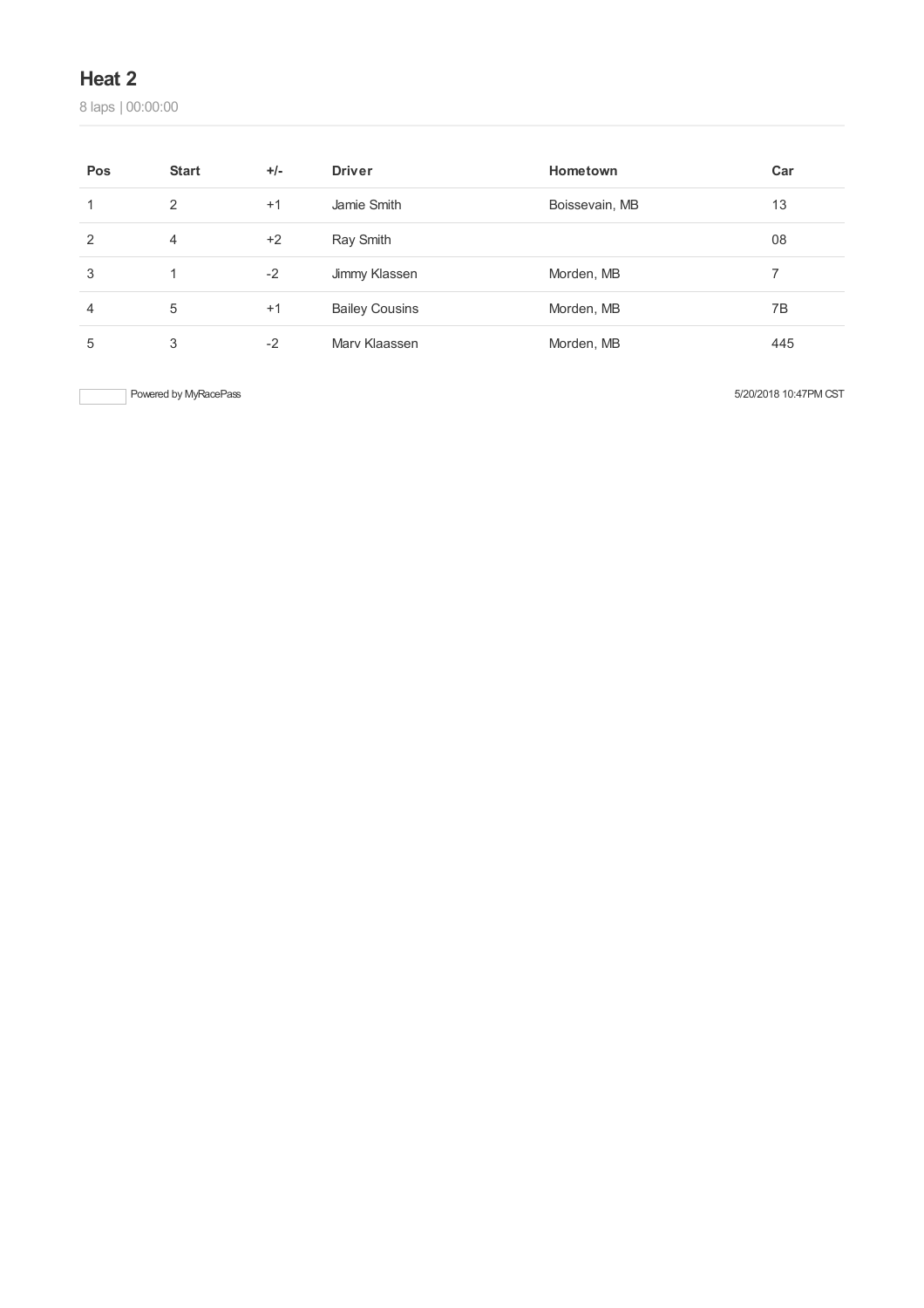# **Heat 2**

laps | 00:00:00

| Pos | <b>Start</b> | $+/-$ | <b>Driver</b>         | Hometown       | Car |
|-----|--------------|-------|-----------------------|----------------|-----|
| 1   | 2            | $+1$  | Jamie Smith           | Boissevain, MB | 13  |
| 2   | 4            | $+2$  | Ray Smith             |                | 08  |
| 3   | 1            | $-2$  | Jimmy Klassen         | Morden, MB     | 7   |
| 4   | 5            | $+1$  | <b>Bailey Cousins</b> | Morden, MB     | 7B  |
| 5   | 3            | $-2$  | Mary Klaassen         | Morden, MB     | 445 |

Powered by MyRacePass 5/20/2018 10:47PM CST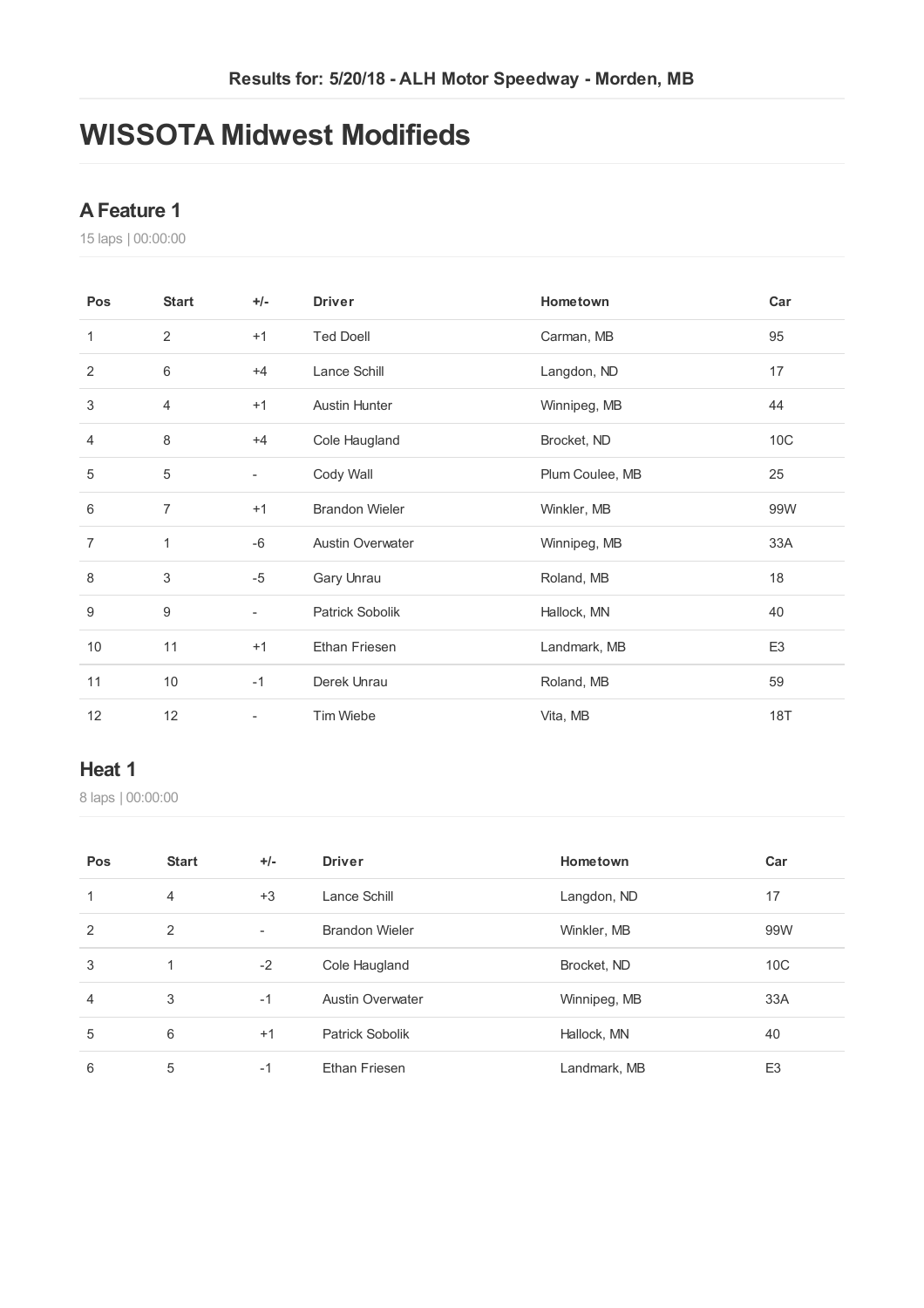# **WISSOTA Midwest Modifieds**

## **AFeature 1**

laps | 00:00:00

| Pos            | <b>Start</b>   | $+/-$                    | <b>Driver</b>           | Hometown        | Car            |
|----------------|----------------|--------------------------|-------------------------|-----------------|----------------|
| 1              | $\overline{2}$ | $+1$                     | <b>Ted Doell</b>        | Carman, MB      | 95             |
| 2              | $6\,$          | $+4$                     | Lance Schill            | Langdon, ND     | 17             |
| 3              | $\overline{4}$ | $+1$                     | <b>Austin Hunter</b>    | Winnipeg, MB    | 44             |
| 4              | 8              | $+4$                     | Cole Haugland           | Brocket, ND     | 10C            |
| $\sqrt{5}$     | 5              | $\overline{\phantom{a}}$ | Cody Wall               | Plum Coulee, MB | 25             |
| 6              | $\overline{7}$ | $+1$                     | <b>Brandon Wieler</b>   | Winkler, MB     | 99W            |
| $\overline{7}$ | 1              | $-6$                     | <b>Austin Overwater</b> | Winnipeg, MB    | 33A            |
| 8              | 3              | $-5$                     | Gary Unrau              | Roland, MB      | 18             |
| 9              | 9              | $\overline{\phantom{a}}$ | Patrick Sobolik         | Hallock, MN     | 40             |
| 10             | 11             | $+1$                     | Ethan Friesen           | Landmark, MB    | E <sub>3</sub> |
| 11             | 10             | $-1$                     | Derek Unrau             | Roland, MB      | 59             |
| 12             | 12             | $\overline{\phantom{a}}$ | Tim Wiebe               | Vita, MB        | <b>18T</b>     |

#### **Heat 1**

laps | 00:00:00

| Pos | <b>Start</b>   | $+/-$                    | <b>Driver</b>           | Hometown     | Car             |
|-----|----------------|--------------------------|-------------------------|--------------|-----------------|
| 1   | $\overline{4}$ | $+3$                     | Lance Schill            | Langdon, ND  | 17              |
| 2   | 2              | $\overline{\phantom{a}}$ | <b>Brandon Wieler</b>   | Winkler, MB  | 99W             |
| 3   | 1              | $-2$                     | Cole Haugland           | Brocket, ND  | 10 <sup>C</sup> |
| 4   | 3              | $-1$                     | <b>Austin Overwater</b> | Winnipeg, MB | 33A             |
| 5   | 6              | $+1$                     | Patrick Sobolik         | Hallock, MN  | 40              |
| 6   | 5              | $-1$                     | <b>Ethan Friesen</b>    | Landmark, MB | E <sub>3</sub>  |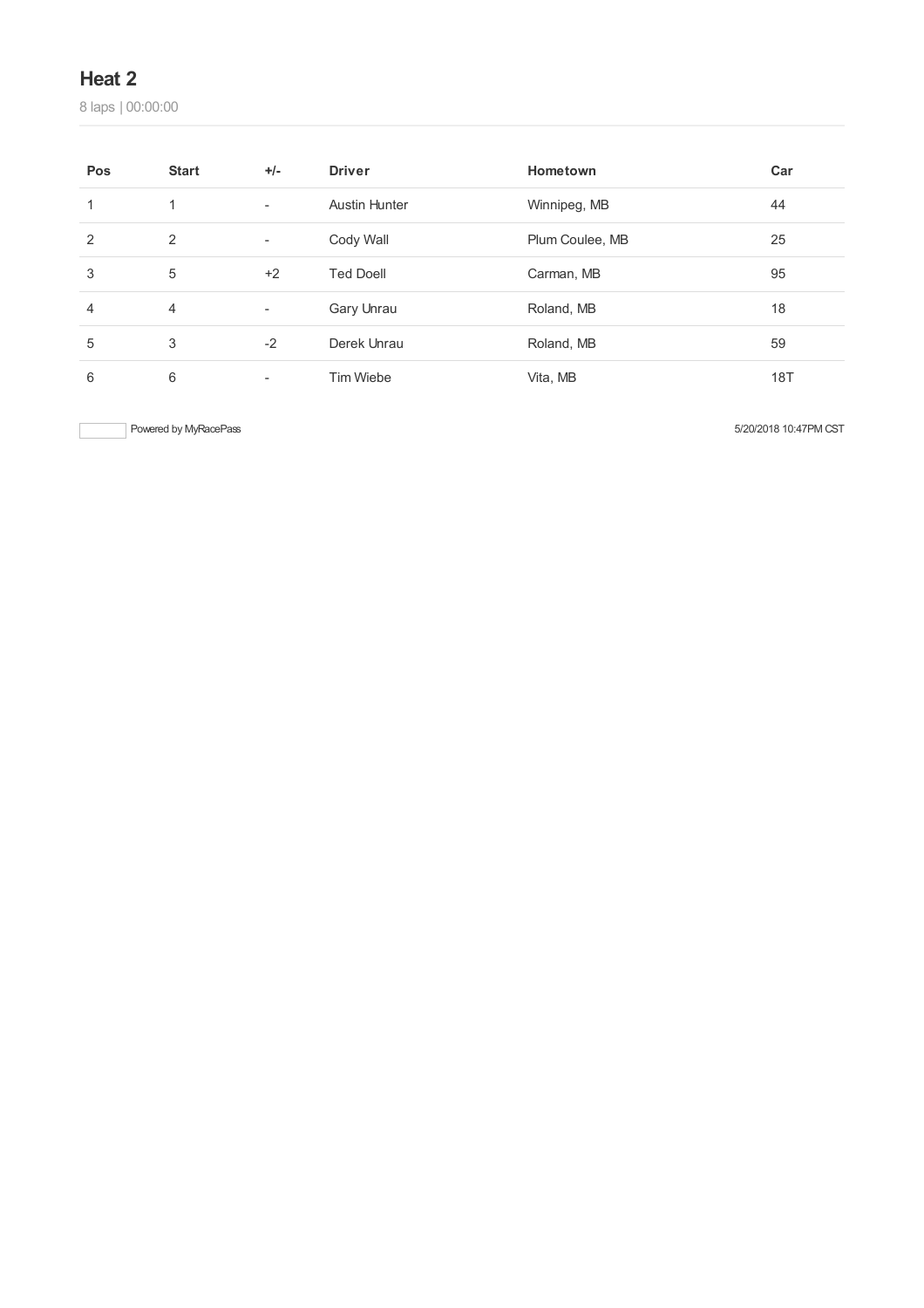# **Heat 2**

laps | 00:00:00

| Pos | <b>Start</b> | $+/-$                    | <b>Driver</b>        | Hometown        | Car |
|-----|--------------|--------------------------|----------------------|-----------------|-----|
| 1   | 1            | $\overline{\phantom{a}}$ | <b>Austin Hunter</b> | Winnipeg, MB    | 44  |
| 2   | 2            | $\overline{\phantom{a}}$ | Cody Wall            | Plum Coulee, MB | 25  |
| 3   | 5            | $+2$                     | <b>Ted Doell</b>     | Carman, MB      | 95  |
| 4   | 4            | $\overline{\phantom{a}}$ | Gary Unrau           | Roland, MB      | 18  |
| 5   | 3            | $-2$                     | Derek Unrau          | Roland, MB      | 59  |
| 6   | 6            | $\overline{\phantom{a}}$ | <b>Tim Wiebe</b>     | Vita, MB        | 18T |

Powered by MyRacePass 5/20/2018 10:47PM CST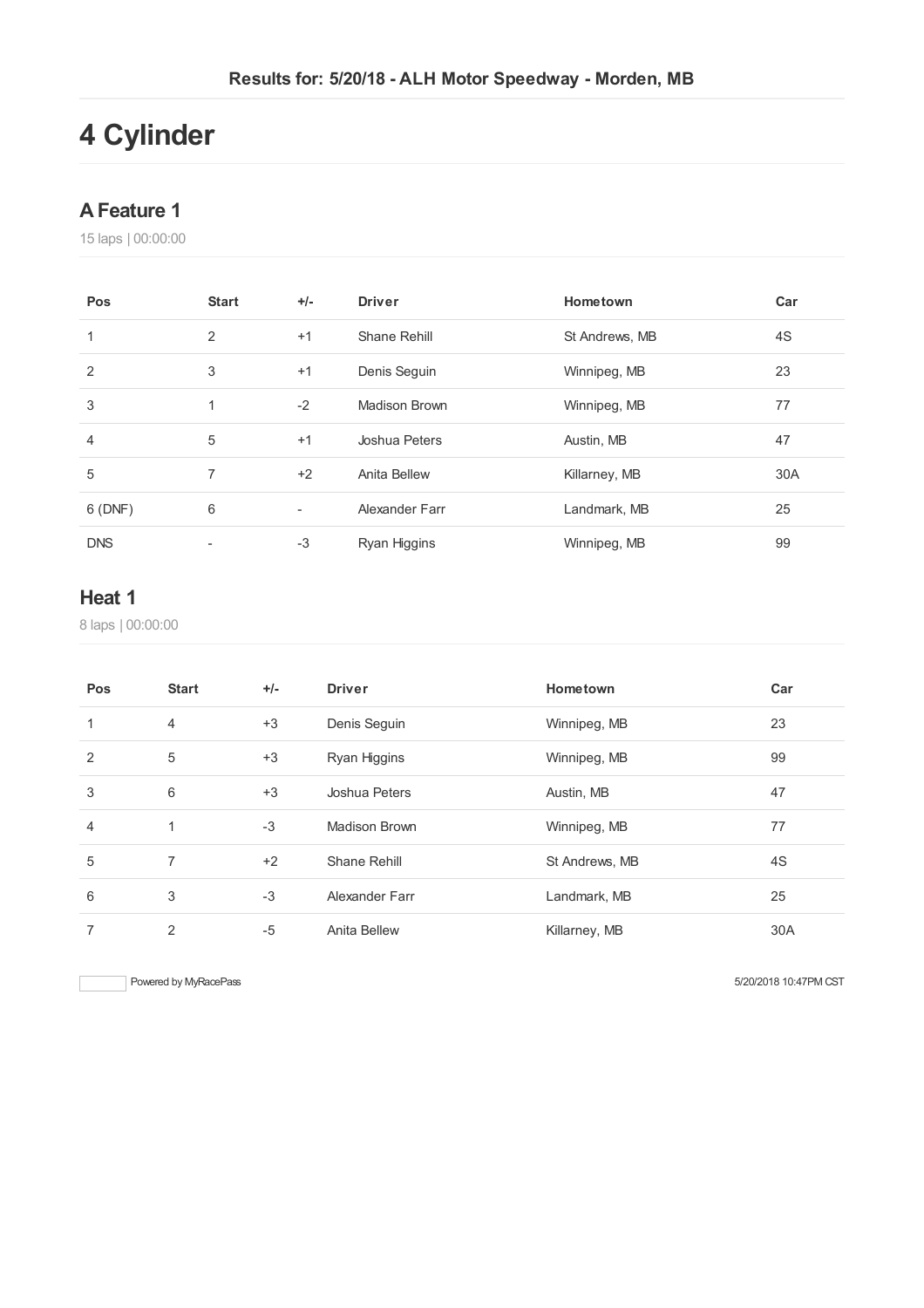# **Cylinder**

### **AFeature 1**

laps | 00:00:00

| Pos        | <b>Start</b>   | $+/-$ | <b>Driver</b>  | Hometown       | Car |
|------------|----------------|-------|----------------|----------------|-----|
| 1          | 2              | $+1$  | Shane Rehill   | St Andrews, MB | 4S  |
| 2          | 3              | $+1$  | Denis Seguin   | Winnipeg, MB   | 23  |
| 3          | 1              | $-2$  | Madison Brown  | Winnipeg, MB   | 77  |
| 4          | 5              | $+1$  | Joshua Peters  | Austin, MB     | 47  |
| 5          | $\overline{7}$ | $+2$  | Anita Bellew   | Killarney, MB  | 30A |
| 6(DNF)     | 6              | ٠     | Alexander Farr | Landmark, MB   | 25  |
| <b>DNS</b> |                | $-3$  | Ryan Higgins   | Winnipeg, MB   | 99  |

# **Heat 1**

laps | 00:00:00

| Pos            | <b>Start</b>   | $+/-$ | <b>Driver</b>  | Hometown       | Car |
|----------------|----------------|-------|----------------|----------------|-----|
| 1              | $\overline{4}$ | $+3$  | Denis Seguin   | Winnipeg, MB   | 23  |
| 2              | 5              | $+3$  | Ryan Higgins   | Winnipeg, MB   | 99  |
| 3              | 6              | $+3$  | Joshua Peters  | Austin, MB     | 47  |
| $\overline{4}$ | 1              | $-3$  | Madison Brown  | Winnipeg, MB   | 77  |
| 5              | 7              | $+2$  | Shane Rehill   | St Andrews, MB | 4S  |
| 6              | 3              | $-3$  | Alexander Farr | Landmark, MB   | 25  |
| 7              | 2              | $-5$  | Anita Bellew   | Killarney, MB  | 30A |

Powered by MyRacePass 6/20/2018 10:47PM CST